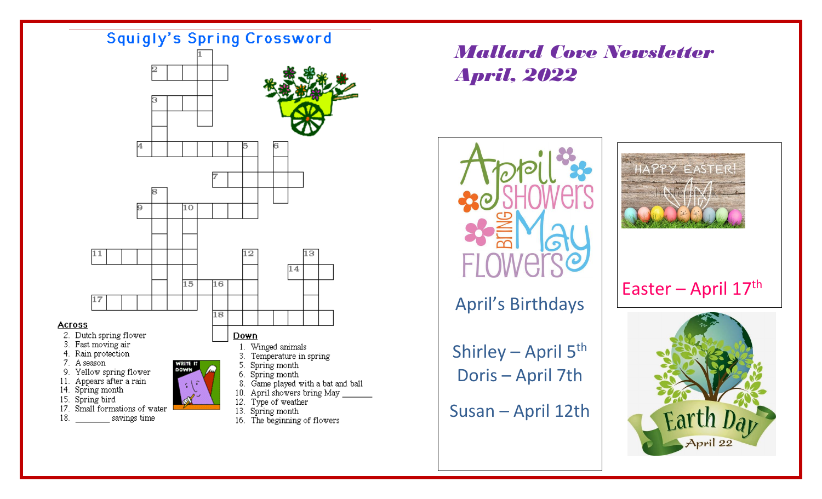

## *Mallard Cove Newsletter April, 2022*





## Easter – April  $17<sup>th</sup>$